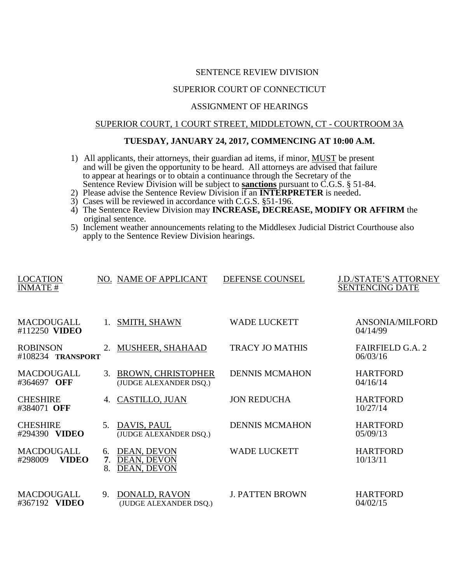### SENTENCE REVIEW DIVISION

# SUPERIOR COURT OF CONNECTICUT

## ASSIGNMENT OF HEARINGS

### SUPERIOR COURT, 1 COURT STREET, MIDDLETOWN, CT - COURTROOM 3A

### **TUESDAY, JANUARY 24, 2017, COMMENCING AT 10:00 A.M.**

- 1) All applicants, their attorneys, their guardian ad items, if minor, MUST be present and will be given the opportunity to be heard. All attorneys are advised that failure to appear at hearings or to obtain a continuance through the Secretary of the Sentence Review Division will be subject to **sanctions** pursuant to C.G.S. § 51-84.
- 2) Please advise the Sentence Review Division if an **INTERPRETER** is needed.
- 3) Cases will be reviewed in accordance with C.G.S. §51-196.
- 4) The Sentence Review Division may **INCREASE, DECREASE, MODIFY OR AFFIRM** the original sentence.
- 5) Inclement weather announcements relating to the Middlesex Judicial District Courthouse also apply to the Sentence Review Division hearings.

| <b>LOCATION</b><br><b>INMATE#</b>            |                | NO. NAME OF APPLICANT                           | DEFENSE COUNSEL        | <b>J.D./STATE'S ATTORNEY</b><br><b>SENTENCING DATE</b> |
|----------------------------------------------|----------------|-------------------------------------------------|------------------------|--------------------------------------------------------|
|                                              |                |                                                 |                        |                                                        |
| MACDOUGALL<br>#112250 VIDEO                  | 1.             | SMITH, SHAWN                                    | <b>WADE LUCKETT</b>    | <b>ANSONIA/MILFORD</b><br>04/14/99                     |
| <b>ROBINSON</b><br>#108234 TRANSPORT         | 2.             | MUSHEER, SHAHAAD                                | <b>TRACY JO MATHIS</b> | <b>FAIRFIELD G.A. 2</b><br>06/03/16                    |
| <b>MACDOUGALL</b><br>#364697 OFF             |                | 3. BROWN, CHRISTOPHER<br>(JUDGE ALEXANDER DSQ.) | <b>DENNIS MCMAHON</b>  | <b>HARTFORD</b><br>04/16/14                            |
| <b>CHESHIRE</b><br>#384071 OFF               | 4.             | <b>CASTILLO, JUAN</b>                           | <b>JON REDUCHA</b>     | <b>HARTFORD</b><br>10/27/14                            |
| <b>CHESHIRE</b><br>#294390 VIDEO             | 5.             | DAVIS, PAUL<br>(JUDGE ALEXANDER DSQ.)           | <b>DENNIS MCMAHON</b>  | <b>HARTFORD</b><br>05/09/13                            |
| <b>MACDOUGALL</b><br><b>VIDEO</b><br>#298009 | 6.<br>7.<br>8. | DEAN, DEVON<br>DEAN, DEVON<br>DEAN, DEVON       | <b>WADE LUCKETT</b>    | <b>HARTFORD</b><br>10/13/11                            |
| MACDOUGALL<br>#367192 VIDEO                  | 9.             | <b>DONALD, RAVON</b><br>(JUDGE ALEXANDER DSQ.)  | <b>J. PATTEN BROWN</b> | <b>HARTFORD</b><br>04/02/15                            |